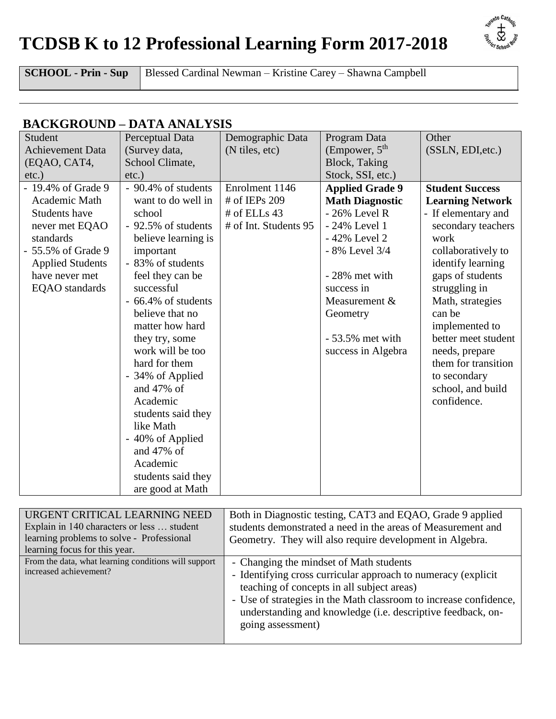## **TCDSB K to 12 Professional Learning Form 2017-2018**



**SCHOOL - Prin - Sup** Blessed Cardinal Newman – Kristine Carey – Shawna Campbell

## **BACKGROUND – DATA ANALYSIS**

| Student                                                                                                                                                                         | Perceptual Data                                                                                                                                                                                                                                    | Demographic Data                                                         | Program Data                                                                                                                                                                         | Other                                                                                                                                                                                                                |
|---------------------------------------------------------------------------------------------------------------------------------------------------------------------------------|----------------------------------------------------------------------------------------------------------------------------------------------------------------------------------------------------------------------------------------------------|--------------------------------------------------------------------------|--------------------------------------------------------------------------------------------------------------------------------------------------------------------------------------|----------------------------------------------------------------------------------------------------------------------------------------------------------------------------------------------------------------------|
| <b>Achievement Data</b>                                                                                                                                                         | (Survey data,                                                                                                                                                                                                                                      | (N tiles, etc)                                                           | (Empower, $5th$                                                                                                                                                                      | (SSLN, EDI, etc.)                                                                                                                                                                                                    |
| (EQAO, CAT4,                                                                                                                                                                    | School Climate,                                                                                                                                                                                                                                    |                                                                          | <b>Block</b> , Taking                                                                                                                                                                |                                                                                                                                                                                                                      |
| $etc.$ )                                                                                                                                                                        | $etc.$ )                                                                                                                                                                                                                                           |                                                                          | Stock, SSI, etc.)                                                                                                                                                                    |                                                                                                                                                                                                                      |
| - 19.4% of Grade 9<br>Academic Math<br><b>Students have</b><br>never met EQAO<br>standards<br>- 55.5% of Grade 9<br><b>Applied Students</b><br>have never met<br>EQAO standards | - 90.4% of students<br>want to do well in<br>school<br>- 92.5% of students<br>believe learning is<br>important<br>- 83% of students<br>feel they can be<br>successful<br>- 66.4% of students<br>believe that no                                    | Enrolment 1146<br># of IEPs 209<br># of ELLs 43<br># of Int. Students 95 | <b>Applied Grade 9</b><br><b>Math Diagnostic</b><br>$-26\%$ Level R<br>- 24% Level 1<br>- 42% Level 2<br>- 8% Level 3/4<br>- 28% met with<br>success in<br>Measurement &<br>Geometry | <b>Student Success</b><br><b>Learning Network</b><br>- If elementary and<br>secondary teachers<br>work<br>collaboratively to<br>identify learning<br>gaps of students<br>struggling in<br>Math, strategies<br>can be |
|                                                                                                                                                                                 | matter how hard<br>they try, some<br>work will be too<br>hard for them<br>- 34% of Applied<br>and 47% of<br>Academic<br>students said they<br>like Math<br>- 40% of Applied<br>and $47\%$ of<br>Academic<br>students said they<br>are good at Math |                                                                          | $-53.5\%$ met with<br>success in Algebra                                                                                                                                             | implemented to<br>better meet student<br>needs, prepare<br>them for transition<br>to secondary<br>school, and build<br>confidence.                                                                                   |

| URGENT CRITICAL LEARNING NEED                                                  | Both in Diagnostic testing, CAT3 and EQAO, Grade 9 applied                                                                                                                                                                                                                                 |
|--------------------------------------------------------------------------------|--------------------------------------------------------------------------------------------------------------------------------------------------------------------------------------------------------------------------------------------------------------------------------------------|
| Explain in 140 characters or less  student                                     | students demonstrated a need in the areas of Measurement and                                                                                                                                                                                                                               |
| learning problems to solve - Professional                                      | Geometry. They will also require development in Algebra.                                                                                                                                                                                                                                   |
| learning focus for this year.                                                  |                                                                                                                                                                                                                                                                                            |
| From the data, what learning conditions will support<br>increased achievement? | - Changing the mindset of Math students<br>- Identifying cross curricular approach to numeracy (explicit<br>teaching of concepts in all subject areas)<br>- Use of strategies in the Math classroom to increase confidence,<br>understanding and knowledge (i.e. descriptive feedback, on- |
|                                                                                | going assessment)                                                                                                                                                                                                                                                                          |